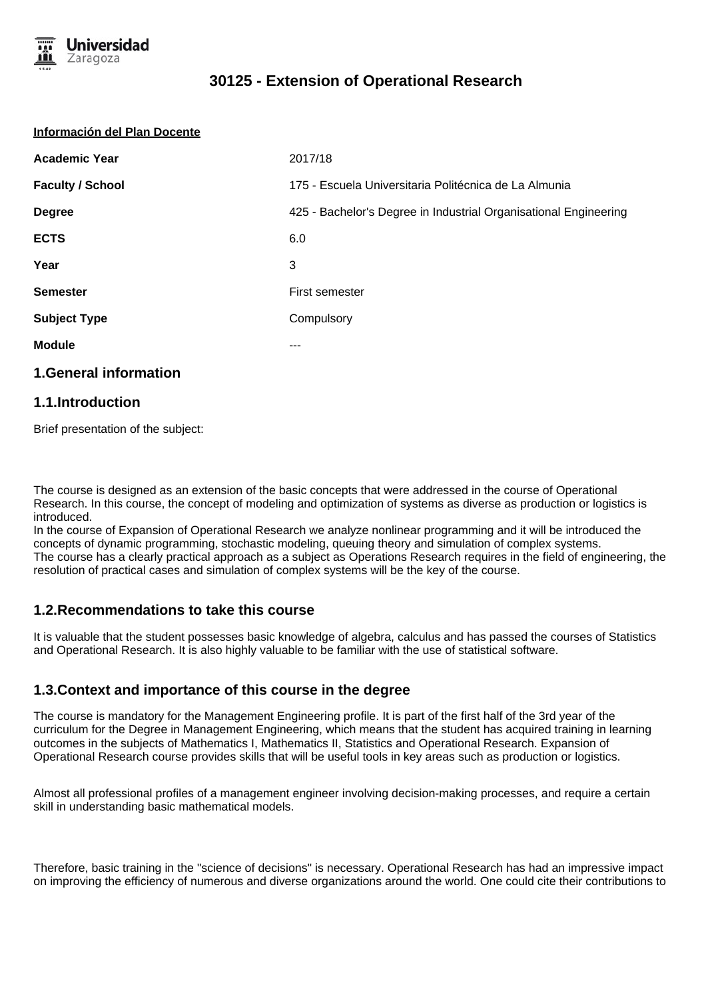

| Información del Plan Docente |                                                                  |
|------------------------------|------------------------------------------------------------------|
| <b>Academic Year</b>         | 2017/18                                                          |
| <b>Faculty / School</b>      | 175 - Escuela Universitaria Politécnica de La Almunia            |
| <b>Degree</b>                | 425 - Bachelor's Degree in Industrial Organisational Engineering |
| <b>ECTS</b>                  | 6.0                                                              |
| Year                         | 3                                                                |
| <b>Semester</b>              | First semester                                                   |
| <b>Subject Type</b>          | Compulsory                                                       |
| <b>Module</b>                | ---                                                              |
| <b>1.General information</b> |                                                                  |
|                              |                                                                  |

#### **1.1.Introduction**

Brief presentation of the subject:

The course is designed as an extension of the basic concepts that were addressed in the course of Operational Research. In this course, the concept of modeling and optimization of systems as diverse as production or logistics is introduced.

In the course of Expansion of Operational Research we analyze nonlinear programming and it will be introduced the concepts of dynamic programming, stochastic modeling, queuing theory and simulation of complex systems. The course has a clearly practical approach as a subject as Operations Research requires in the field of engineering, the resolution of practical cases and simulation of complex systems will be the key of the course.

#### **1.2.Recommendations to take this course**

It is valuable that the student possesses basic knowledge of algebra, calculus and has passed the courses of Statistics and Operational Research. It is also highly valuable to be familiar with the use of statistical software.

#### **1.3.Context and importance of this course in the degree**

The course is mandatory for the Management Engineering profile. It is part of the first half of the 3rd year of the curriculum for the Degree in Management Engineering, which means that the student has acquired training in learning outcomes in the subjects of Mathematics I, Mathematics II, Statistics and Operational Research. Expansion of Operational Research course provides skills that will be useful tools in key areas such as production or logistics.

Almost all professional profiles of a management engineer involving decision-making processes, and require a certain skill in understanding basic mathematical models.

Therefore, basic training in the "science of decisions" is necessary. Operational Research has had an impressive impact on improving the efficiency of numerous and diverse organizations around the world. One could cite their contributions to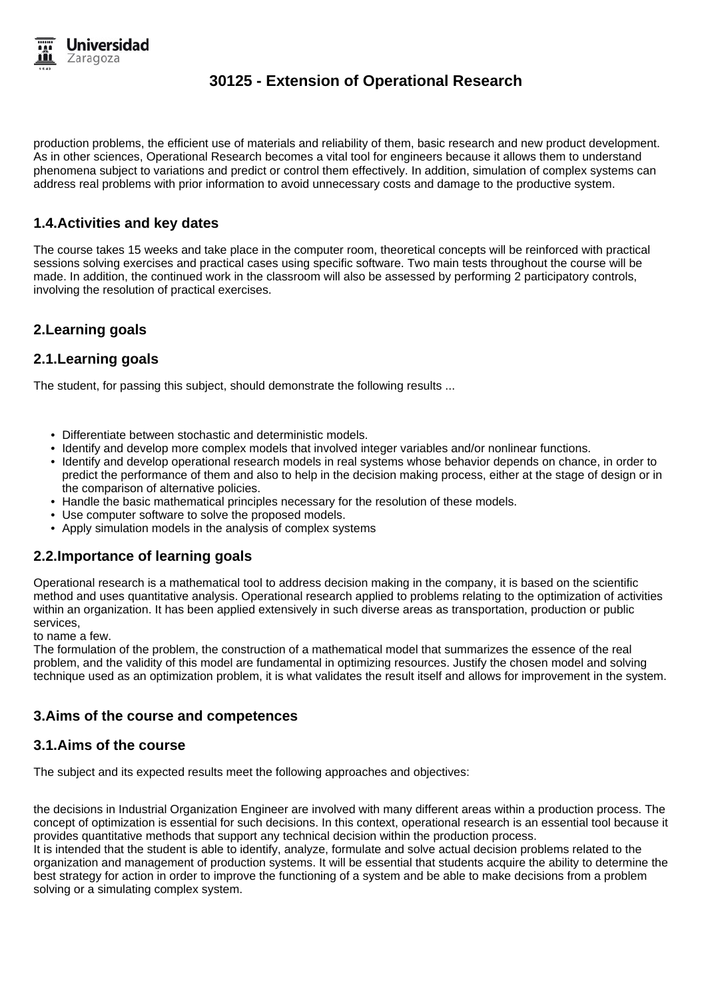

production problems, the efficient use of materials and reliability of them, basic research and new product development. As in other sciences, Operational Research becomes a vital tool for engineers because it allows them to understand phenomena subject to variations and predict or control them effectively. In addition, simulation of complex systems can address real problems with prior information to avoid unnecessary costs and damage to the productive system.

## **1.4.Activities and key dates**

The course takes 15 weeks and take place in the computer room, theoretical concepts will be reinforced with practical sessions solving exercises and practical cases using specific software. Two main tests throughout the course will be made. In addition, the continued work in the classroom will also be assessed by performing 2 participatory controls, involving the resolution of practical exercises.

## **2.Learning goals**

#### **2.1.Learning goals**

The student, for passing this subject, should demonstrate the following results ...

- Differentiate between stochastic and deterministic models.
- Identify and develop more complex models that involved integer variables and/or nonlinear functions.
- Identify and develop operational research models in real systems whose behavior depends on chance, in order to predict the performance of them and also to help in the decision making process, either at the stage of design or in the comparison of alternative policies.
- Handle the basic mathematical principles necessary for the resolution of these models.
- Use computer software to solve the proposed models.
- Apply simulation models in the analysis of complex systems

#### **2.2.Importance of learning goals**

Operational research is a mathematical tool to address decision making in the company, it is based on the scientific method and uses quantitative analysis. Operational research applied to problems relating to the optimization of activities within an organization. It has been applied extensively in such diverse areas as transportation, production or public services,

to name a few.

The formulation of the problem, the construction of a mathematical model that summarizes the essence of the real problem, and the validity of this model are fundamental in optimizing resources. Justify the chosen model and solving technique used as an optimization problem, it is what validates the result itself and allows for improvement in the system.

#### **3.Aims of the course and competences**

#### **3.1.Aims of the course**

The subject and its expected results meet the following approaches and objectives:

the decisions in Industrial Organization Engineer are involved with many different areas within a production process. The concept of optimization is essential for such decisions. In this context, operational research is an essential tool because it provides quantitative methods that support any technical decision within the production process. It is intended that the student is able to identify, analyze, formulate and solve actual decision problems related to the

organization and management of production systems. It will be essential that students acquire the ability to determine the best strategy for action in order to improve the functioning of a system and be able to make decisions from a problem solving or a simulating complex system.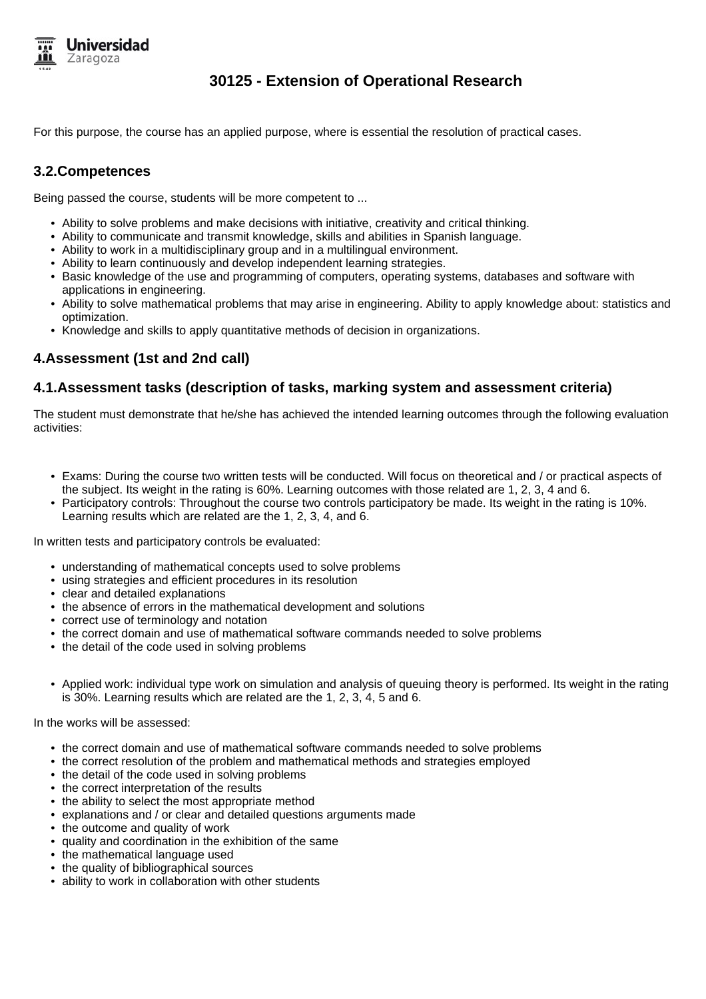

For this purpose, the course has an applied purpose, where is essential the resolution of practical cases.

### **3.2.Competences**

Being passed the course, students will be more competent to ...

- Ability to solve problems and make decisions with initiative, creativity and critical thinking.
- Ability to communicate and transmit knowledge, skills and abilities in Spanish language.
- Ability to work in a multidisciplinary group and in a multilingual environment.
- Ability to learn continuously and develop independent learning strategies.
- Basic knowledge of the use and programming of computers, operating systems, databases and software with applications in engineering.
- Ability to solve mathematical problems that may arise in engineering. Ability to apply knowledge about: statistics and optimization.
- Knowledge and skills to apply quantitative methods of decision in organizations.

## **4.Assessment (1st and 2nd call)**

#### **4.1.Assessment tasks (description of tasks, marking system and assessment criteria)**

The student must demonstrate that he/she has achieved the intended learning outcomes through the following evaluation activities:

- Exams: During the course two written tests will be conducted. Will focus on theoretical and / or practical aspects of the subject. Its weight in the rating is 60%. Learning outcomes with those related are 1, 2, 3, 4 and 6.
- Participatory controls: Throughout the course two controls participatory be made. Its weight in the rating is 10%. Learning results which are related are the 1, 2, 3, 4, and 6.

In written tests and participatory controls be evaluated:

- understanding of mathematical concepts used to solve problems
- using strategies and efficient procedures in its resolution
- clear and detailed explanations
- the absence of errors in the mathematical development and solutions
- correct use of terminology and notation
- the correct domain and use of mathematical software commands needed to solve problems
- the detail of the code used in solving problems
- Applied work: individual type work on simulation and analysis of queuing theory is performed. Its weight in the rating is 30%. Learning results which are related are the 1, 2, 3, 4, 5 and 6.

In the works will be assessed:

- the correct domain and use of mathematical software commands needed to solve problems
- the correct resolution of the problem and mathematical methods and strategies employed
- the detail of the code used in solving problems
- the correct interpretation of the results
- the ability to select the most appropriate method
- explanations and / or clear and detailed questions arguments made
- the outcome and quality of work
- quality and coordination in the exhibition of the same
- the mathematical language used
- the quality of bibliographical sources
- ability to work in collaboration with other students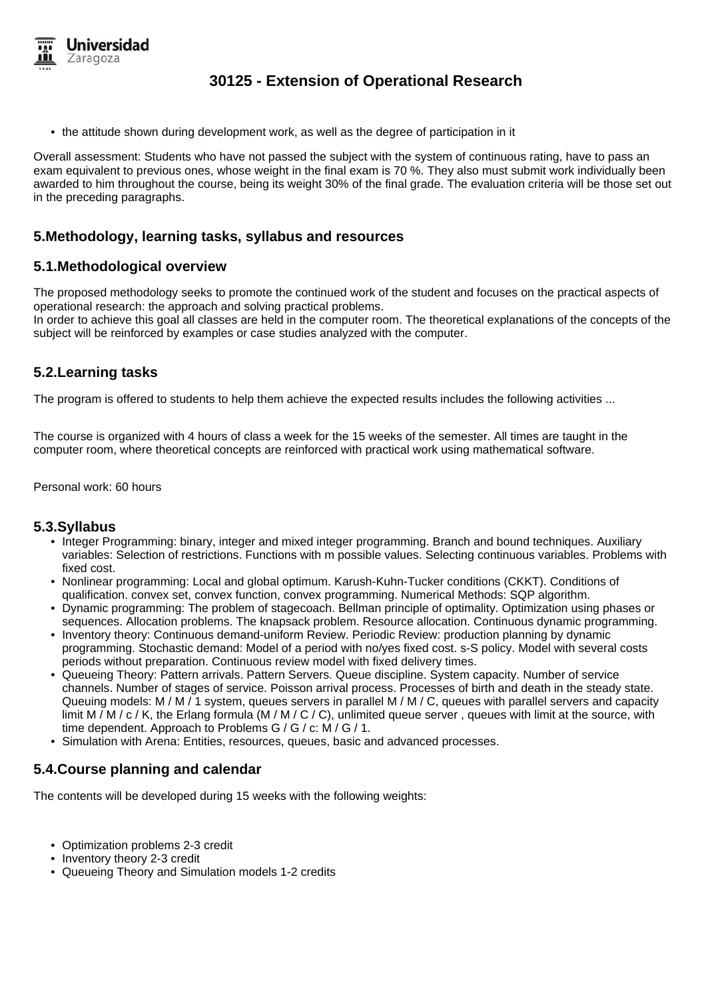

• the attitude shown during development work, as well as the degree of participation in it

Overall assessment: Students who have not passed the subject with the system of continuous rating, have to pass an exam equivalent to previous ones, whose weight in the final exam is 70 %. They also must submit work individually been awarded to him throughout the course, being its weight 30% of the final grade. The evaluation criteria will be those set out in the preceding paragraphs.

#### **5.Methodology, learning tasks, syllabus and resources**

#### **5.1.Methodological overview**

The proposed methodology seeks to promote the continued work of the student and focuses on the practical aspects of operational research: the approach and solving practical problems.

In order to achieve this goal all classes are held in the computer room. The theoretical explanations of the concepts of the subject will be reinforced by examples or case studies analyzed with the computer.

## **5.2.Learning tasks**

The program is offered to students to help them achieve the expected results includes the following activities ...

The course is organized with 4 hours of class a week for the 15 weeks of the semester. All times are taught in the computer room, where theoretical concepts are reinforced with practical work using mathematical software.

Personal work: 60 hours

#### **5.3.Syllabus**

- Integer Programming: binary, integer and mixed integer programming. Branch and bound techniques. Auxiliary variables: Selection of restrictions. Functions with m possible values. Selecting continuous variables. Problems with fixed cost.
- Nonlinear programming: Local and global optimum. Karush-Kuhn-Tucker conditions (CKKT). Conditions of qualification. convex set, convex function, convex programming. Numerical Methods: SQP algorithm.
- Dynamic programming: The problem of stagecoach. Bellman principle of optimality. Optimization using phases or sequences. Allocation problems. The knapsack problem. Resource allocation. Continuous dynamic programming.
- Inventory theory: Continuous demand-uniform Review. Periodic Review: production planning by dynamic programming. Stochastic demand: Model of a period with no/yes fixed cost. s-S policy. Model with several costs periods without preparation. Continuous review model with fixed delivery times.
- Queueing Theory: Pattern arrivals. Pattern Servers. Queue discipline. System capacity. Number of service channels. Number of stages of service. Poisson arrival process. Processes of birth and death in the steady state. Queuing models: M / M / 1 system, queues servers in parallel M / M / C, queues with parallel servers and capacity limit M / M / c / K, the Erlang formula (M / M / C / C), unlimited queue server, queues with limit at the source, with time dependent. Approach to Problems G / G / c: M / G / 1.
- Simulation with Arena: Entities, resources, queues, basic and advanced processes.

#### **5.4.Course planning and calendar**

The contents will be developed during 15 weeks with the following weights:

- Optimization problems 2-3 credit
- Inventory theory 2-3 credit
- Queueing Theory and Simulation models 1-2 credits